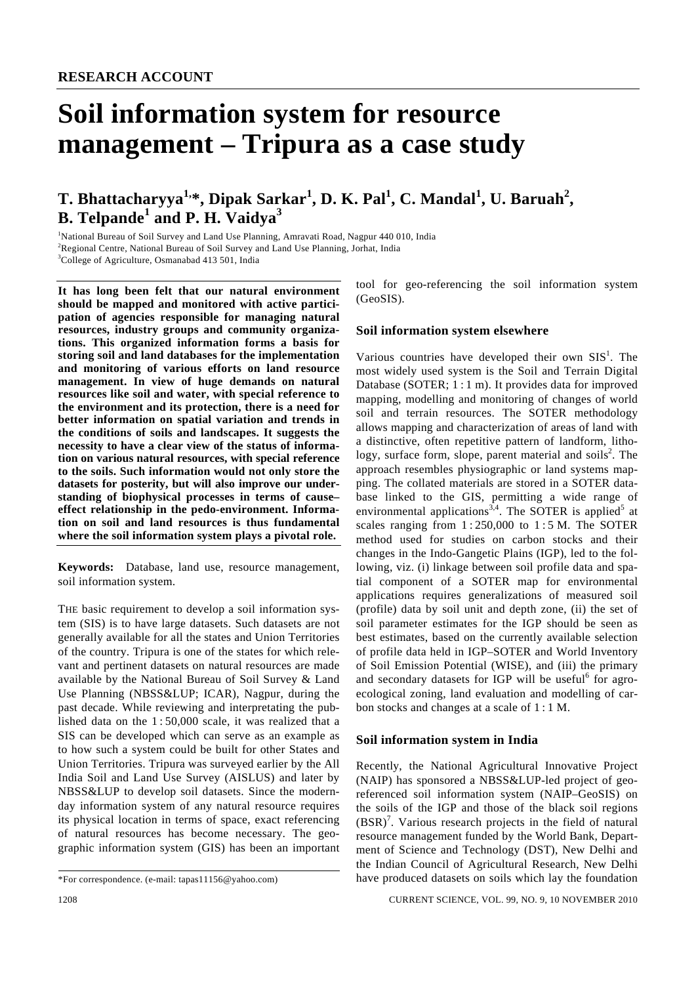# **Soil information system for resource management – Tripura as a case study**

# **T. Bhattacharyya1,\*, Dipak Sarkar1 , D. K. Pal<sup>1</sup> , C. Mandal<sup>1</sup> , U. Baruah<sup>2</sup> , B. Telpande<sup>1</sup> and P. H. Vaidya<sup>3</sup>**

<sup>1</sup>National Bureau of Soil Survey and Land Use Planning, Amravati Road, Nagpur 440 010, India<br><sup>2</sup>Regional Contre National Pureau of Soil Survey and Land Use Planning, Jorbet, India <sup>2</sup>Regional Centre, National Bureau of Soil Survey and Land Use Planning, Jorhat, India <sup>3</sup>College of Agriculture, Osmanabad 413 501, India

**It has long been felt that our natural environment should be mapped and monitored with active participation of agencies responsible for managing natural resources, industry groups and community organizations. This organized information forms a basis for storing soil and land databases for the implementation and monitoring of various efforts on land resource management. In view of huge demands on natural resources like soil and water, with special reference to the environment and its protection, there is a need for better information on spatial variation and trends in the conditions of soils and landscapes. It suggests the necessity to have a clear view of the status of information on various natural resources, with special reference to the soils. Such information would not only store the datasets for posterity, but will also improve our understanding of biophysical processes in terms of cause– effect relationship in the pedo-environment. Information on soil and land resources is thus fundamental where the soil information system plays a pivotal role.** 

**Keywords:** Database, land use, resource management, soil information system.

THE basic requirement to develop a soil information system (SIS) is to have large datasets. Such datasets are not generally available for all the states and Union Territories of the country. Tripura is one of the states for which relevant and pertinent datasets on natural resources are made available by the National Bureau of Soil Survey & Land Use Planning (NBSS&LUP; ICAR), Nagpur, during the past decade. While reviewing and interpretating the published data on the 1 : 50,000 scale, it was realized that a SIS can be developed which can serve as an example as to how such a system could be built for other States and Union Territories. Tripura was surveyed earlier by the All India Soil and Land Use Survey (AISLUS) and later by NBSS&LUP to develop soil datasets. Since the modernday information system of any natural resource requires its physical location in terms of space, exact referencing of natural resources has become necessary. The geographic information system (GIS) has been an important

tool for geo-referencing the soil information system (GeoSIS).

#### **Soil information system elsewhere**

Various countries have developed their own  $SIS<sup>1</sup>$ . The most widely used system is the Soil and Terrain Digital Database (SOTER; 1 : 1 m). It provides data for improved mapping, modelling and monitoring of changes of world soil and terrain resources. The SOTER methodology allows mapping and characterization of areas of land with a distinctive, often repetitive pattern of landform, lithology, surface form, slope, parent material and soils<sup>2</sup>. The approach resembles physiographic or land systems mapping. The collated materials are stored in a SOTER database linked to the GIS, permitting a wide range of environmental applications<sup>3,4</sup>. The SOTER is applied<sup>5</sup> at scales ranging from  $1:250,000$  to  $1:5$  M. The SOTER method used for studies on carbon stocks and their changes in the Indo-Gangetic Plains (IGP), led to the following, viz. (i) linkage between soil profile data and spatial component of a SOTER map for environmental applications requires generalizations of measured soil (profile) data by soil unit and depth zone, (ii) the set of soil parameter estimates for the IGP should be seen as best estimates, based on the currently available selection of profile data held in IGP–SOTER and World Inventory of Soil Emission Potential (WISE), and (iii) the primary and secondary datasets for IGP will be useful<sup>6</sup> for agroecological zoning, land evaluation and modelling of carbon stocks and changes at a scale of 1 : 1 M.

#### **Soil information system in India**

Recently, the National Agricultural Innovative Project (NAIP) has sponsored a NBSS&LUP-led project of georeferenced soil information system (NAIP–GeoSIS) on the soils of the IGP and those of the black soil regions  $(BSR)<sup>7</sup>$ . Various research projects in the field of natural resource management funded by the World Bank, Department of Science and Technology (DST), New Delhi and the Indian Council of Agricultural Research, New Delhi have produced datasets on soils which lay the foundation

1208 CURRENT SCIENCE, VOL. 99, NO. 9, 10 NOVEMBER 2010

<sup>\*</sup>For correspondence. (e-mail: tapas11156@yahoo.com)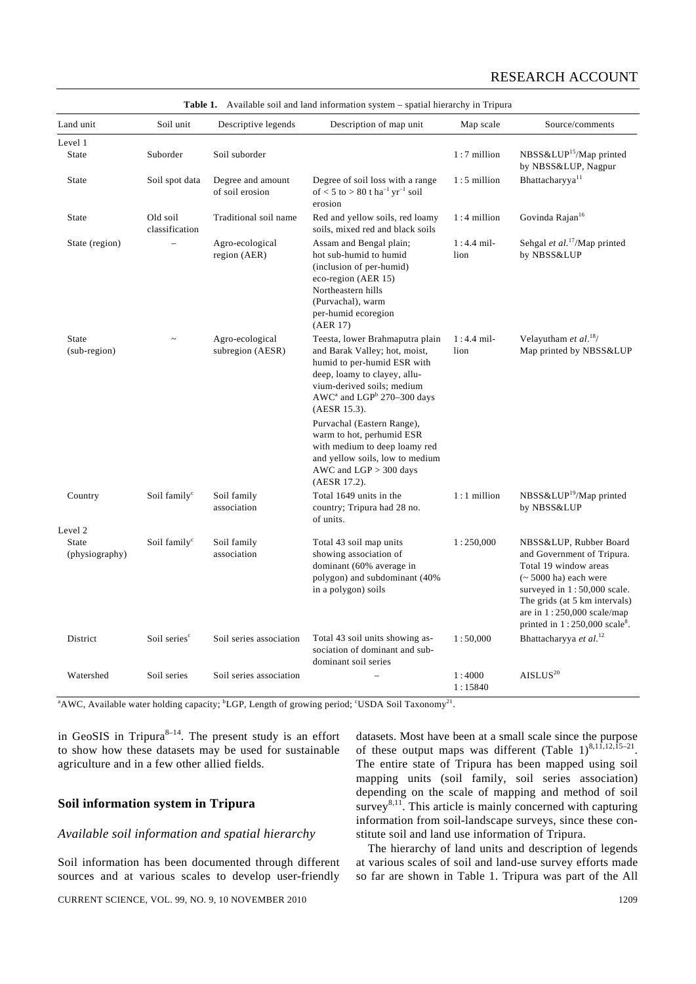| Land unit                      | Soil unit                  | Descriptive legends                                                                                                                                                                                                                           | Description of map unit                                                                                                                                                                                                                                                                                                                                                                                        | Map scale                                               | Source/comments                                                                                                                                                                                                                                         |
|--------------------------------|----------------------------|-----------------------------------------------------------------------------------------------------------------------------------------------------------------------------------------------------------------------------------------------|----------------------------------------------------------------------------------------------------------------------------------------------------------------------------------------------------------------------------------------------------------------------------------------------------------------------------------------------------------------------------------------------------------------|---------------------------------------------------------|---------------------------------------------------------------------------------------------------------------------------------------------------------------------------------------------------------------------------------------------------------|
| Level 1                        |                            |                                                                                                                                                                                                                                               |                                                                                                                                                                                                                                                                                                                                                                                                                |                                                         |                                                                                                                                                                                                                                                         |
| <b>State</b>                   | Suborder                   | Soil suborder                                                                                                                                                                                                                                 |                                                                                                                                                                                                                                                                                                                                                                                                                | $1:7$ million                                           | NBSS&LUP <sup>15</sup> /Map printed<br>by NBSS&LUP, Nagpur                                                                                                                                                                                              |
| <b>State</b>                   | Soil spot data             | Degree and amount<br>of soil erosion                                                                                                                                                                                                          | Degree of soil loss with a range<br>of $< 5$ to $> 80$ t ha <sup>-1</sup> yr <sup>-1</sup> soil<br>erosion                                                                                                                                                                                                                                                                                                     | $1:5$ million                                           | Bhattacharyya <sup>11</sup>                                                                                                                                                                                                                             |
| <b>State</b>                   | Old soil<br>classification | Traditional soil name                                                                                                                                                                                                                         | Red and yellow soils, red loamy<br>soils, mixed red and black soils                                                                                                                                                                                                                                                                                                                                            | $1:4$ million                                           | Govinda Rajan <sup>16</sup>                                                                                                                                                                                                                             |
| State (region)                 |                            | Agro-ecological<br>Assam and Bengal plain;<br>$1:4.4$ mil-<br>region (AER)<br>lion<br>hot sub-humid to humid<br>(inclusion of per-humid)<br>eco-region (AER 15)<br>Northeastern hills<br>(Purvachal), warm<br>per-humid ecoregion<br>(AER 17) |                                                                                                                                                                                                                                                                                                                                                                                                                | Sehgal et al. <sup>17</sup> /Map printed<br>by NBSS&LUP |                                                                                                                                                                                                                                                         |
| <b>State</b><br>(sub-region)   |                            | Agro-ecological<br>subregion (AESR)                                                                                                                                                                                                           | Teesta, lower Brahmaputra plain<br>and Barak Valley; hot, moist,<br>humid to per-humid ESR with<br>deep, loamy to clayey, allu-<br>vium-derived soils; medium<br>AWC <sup>a</sup> and LGP <sup>b</sup> 270-300 days<br>(AESR 15.3).<br>Purvachal (Eastern Range),<br>warm to hot, perhumid ESR<br>with medium to deep loamy red<br>and yellow soils, low to medium<br>AWC and $LGP$ > 300 days<br>(AESR 17.2). | $1:4.4$ mil-<br>lion                                    | Velayutham et al. <sup>18</sup> /<br>Map printed by NBSS&LUP                                                                                                                                                                                            |
| Country                        | Soil family <sup>c</sup>   | Soil family<br>association                                                                                                                                                                                                                    | Total 1649 units in the<br>country; Tripura had 28 no.<br>of units.                                                                                                                                                                                                                                                                                                                                            | $1:1$ million                                           | NBSS&LUP <sup>19</sup> /Map printed<br>by NBSS&LUP                                                                                                                                                                                                      |
| Level 2                        |                            |                                                                                                                                                                                                                                               |                                                                                                                                                                                                                                                                                                                                                                                                                |                                                         |                                                                                                                                                                                                                                                         |
| <b>State</b><br>(physiography) | Soil family <sup>c</sup>   | Soil family<br>association                                                                                                                                                                                                                    | Total 43 soil map units<br>showing association of<br>dominant (60% average in<br>polygon) and subdominant (40%<br>in a polygon) soils                                                                                                                                                                                                                                                                          | 1:250,000                                               | NBSS&LUP, Rubber Board<br>and Government of Tripura.<br>Total 19 window areas<br>$\sim$ 5000 ha) each were<br>surveyed in 1:50,000 scale.<br>The grids (at 5 km intervals)<br>are in $1:250,000$ scale/map<br>printed in 1:250,000 scale <sup>8</sup> . |
| District                       | Soil series <sup>c</sup>   | Soil series association                                                                                                                                                                                                                       | Total 43 soil units showing as-<br>sociation of dominant and sub-<br>dominant soil series                                                                                                                                                                                                                                                                                                                      | 1:50,000                                                | Bhattacharyya et al. <sup>12</sup>                                                                                                                                                                                                                      |
| Watershed                      | Soil series                | Soil series association                                                                                                                                                                                                                       |                                                                                                                                                                                                                                                                                                                                                                                                                | 1:4000<br>1:15840                                       | AISLUS <sup>20</sup>                                                                                                                                                                                                                                    |

|  | <b>Table 1.</b> Available soil and land information system – spatial hierarchy in Tripura |  |  |  |  |  |  |
|--|-------------------------------------------------------------------------------------------|--|--|--|--|--|--|
|--|-------------------------------------------------------------------------------------------|--|--|--|--|--|--|

<sup>a</sup> AWC, Available water holding capacity; <sup>b</sup>LGP, Length of growing period; <sup>c</sup>USDA Soil Taxonomy<sup>21</sup>.

in GeoSIS in Tripura $8-14$ . The present study is an effort to show how these datasets may be used for sustainable agriculture and in a few other allied fields.

# **Soil information system in Tripura**

# *Available soil information and spatial hierarchy*

Soil information has been documented through different sources and at various scales to develop user-friendly

CURRENT SCIENCE, VOL. 99, NO. 9, 10 NOVEMBER 2010 1209

datasets. Most have been at a small scale since the purpose of these output maps was different (Table 1)<sup>8,11,12,15–21</sup>. The entire state of Tripura has been mapped using soil mapping units (soil family, soil series association) depending on the scale of mapping and method of soil survey $8,11$ . This article is mainly concerned with capturing information from soil-landscape surveys, since these constitute soil and land use information of Tripura.

 The hierarchy of land units and description of legends at various scales of soil and land-use survey efforts made so far are shown in Table 1. Tripura was part of the All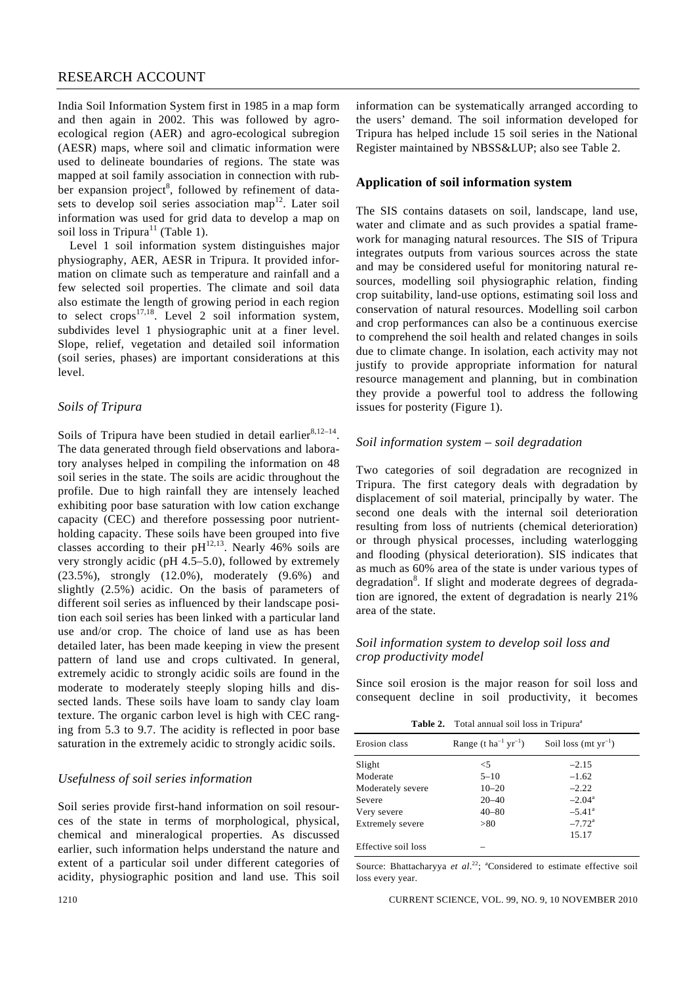India Soil Information System first in 1985 in a map form and then again in 2002. This was followed by agroecological region (AER) and agro-ecological subregion (AESR) maps, where soil and climatic information were used to delineate boundaries of regions. The state was mapped at soil family association in connection with rubber expansion project<sup>8</sup>, followed by refinement of datasets to develop soil series association map<sup>12</sup>. Later soil information was used for grid data to develop a map on soil loss in Tripura<sup>11</sup> (Table 1).

 Level 1 soil information system distinguishes major physiography, AER, AESR in Tripura. It provided information on climate such as temperature and rainfall and a few selected soil properties. The climate and soil data also estimate the length of growing period in each region to select crops<sup>17,18</sup>. Level 2 soil information system, subdivides level 1 physiographic unit at a finer level. Slope, relief, vegetation and detailed soil information (soil series, phases) are important considerations at this level.

### *Soils of Tripura*

Soils of Tripura have been studied in detail earlier<sup>8,12–14</sup>. The data generated through field observations and laboratory analyses helped in compiling the information on 48 soil series in the state. The soils are acidic throughout the profile. Due to high rainfall they are intensely leached exhibiting poor base saturation with low cation exchange capacity (CEC) and therefore possessing poor nutrientholding capacity. These soils have been grouped into five classes according to their  $pH^{12,13}$ . Nearly 46% soils are very strongly acidic (pH 4.5–5.0), followed by extremely (23.5%), strongly (12.0%), moderately (9.6%) and slightly (2.5%) acidic. On the basis of parameters of different soil series as influenced by their landscape position each soil series has been linked with a particular land use and/or crop. The choice of land use as has been detailed later, has been made keeping in view the present pattern of land use and crops cultivated. In general, extremely acidic to strongly acidic soils are found in the moderate to moderately steeply sloping hills and dissected lands. These soils have loam to sandy clay loam texture. The organic carbon level is high with CEC ranging from 5.3 to 9.7. The acidity is reflected in poor base saturation in the extremely acidic to strongly acidic soils.

#### *Usefulness of soil series information*

Soil series provide first-hand information on soil resources of the state in terms of morphological, physical, chemical and mineralogical properties. As discussed earlier, such information helps understand the nature and extent of a particular soil under different categories of acidity, physiographic position and land use. This soil

information can be systematically arranged according to the users' demand. The soil information developed for Tripura has helped include 15 soil series in the National Register maintained by NBSS&LUP; also see Table 2.

#### **Application of soil information system**

The SIS contains datasets on soil, landscape, land use, water and climate and as such provides a spatial framework for managing natural resources. The SIS of Tripura integrates outputs from various sources across the state and may be considered useful for monitoring natural resources, modelling soil physiographic relation, finding crop suitability, land-use options, estimating soil loss and conservation of natural resources. Modelling soil carbon and crop performances can also be a continuous exercise to comprehend the soil health and related changes in soils due to climate change. In isolation, each activity may not justify to provide appropriate information for natural resource management and planning, but in combination they provide a powerful tool to address the following issues for posterity (Figure 1).

#### *Soil information system – soil degradation*

Two categories of soil degradation are recognized in Tripura. The first category deals with degradation by displacement of soil material, principally by water. The second one deals with the internal soil deterioration resulting from loss of nutrients (chemical deterioration) or through physical processes, including waterlogging and flooding (physical deterioration). SIS indicates that as much as 60% area of the state is under various types of degradation<sup>8</sup>. If slight and moderate degrees of degradation are ignored, the extent of degradation is nearly 21% area of the state.

#### *Soil information system to develop soil loss and crop productivity model*

Since soil erosion is the major reason for soil loss and consequent decline in soil productivity, it becomes

Table 2. Total annual soil loss in Tripura<sup>a</sup>

| Erosion class       | Range (t ha <sup>-1</sup> yr <sup>-1</sup> ) | Soil loss (mt $yr^{-1}$ ) |
|---------------------|----------------------------------------------|---------------------------|
| Slight              | $<$ 5                                        | $-2.15$                   |
| Moderate            | $5 - 10$                                     | $-1.62$                   |
| Moderately severe   | $10 - 20$                                    | $-2.22$                   |
| Severe              | $20 - 40$                                    | $-2.04^{\rm a}$           |
| Very severe         | $40 - 80$                                    | $-5.41^{\circ}$           |
| Extremely severe    | > 80                                         | $-7.72^{\rm a}$           |
|                     |                                              | 15.17                     |
| Effective soil loss |                                              |                           |

Source: Bhattacharyya et al.<sup>22</sup>; <sup>a</sup>Considered to estimate effective soil loss every year.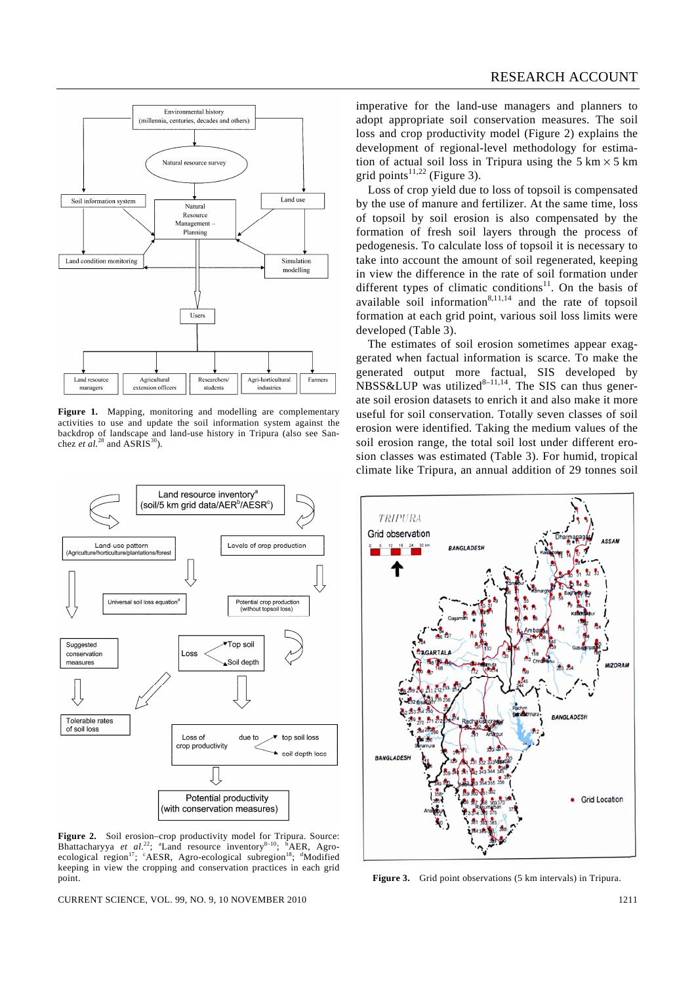

**Figure 1.** Mapping, monitoring and modelling are complementary activities to use and update the soil information system against the backdrop of landscape and land-use history in Tripura (also see Sanchez *et al.*<sup>28</sup> and ASRIS<sup>30</sup>).



Figure 2. Soil erosion–crop productivity model for Tripura. Source: Bhattacharyya *et al.*<sup>22</sup>; <sup>a</sup>Land resource inventory<sup>8–10</sup>; <sup>6</sup>AER, Agro-ecological region<sup>17</sup>; <sup>c</sup>AESR, Agro-ecological subregion<sup>18</sup>; <sup>a</sup>Modified keeping in view the cropping and conservation practices in each grid point.

CURRENT SCIENCE, VOL. 99, NO. 9, 10 NOVEMBER 2010 1211

imperative for the land-use managers and planners to adopt appropriate soil conservation measures. The soil loss and crop productivity model (Figure 2) explains the development of regional-level methodology for estimation of actual soil loss in Tripura using the  $5 \text{ km} \times 5 \text{ km}$ grid points<sup>11,22</sup> (Figure 3).

 Loss of crop yield due to loss of topsoil is compensated by the use of manure and fertilizer. At the same time, loss of topsoil by soil erosion is also compensated by the formation of fresh soil layers through the process of pedogenesis. To calculate loss of topsoil it is necessary to take into account the amount of soil regenerated, keeping in view the difference in the rate of soil formation under different types of climatic conditions<sup>11</sup>. On the basis of available soil information $8,11,14$  and the rate of topsoil formation at each grid point, various soil loss limits were developed (Table 3).

 The estimates of soil erosion sometimes appear exaggerated when factual information is scarce. To make the generated output more factual, SIS developed by  $NBSS\&LUP$  was utilized<sup>8-11,14</sup>. The SIS can thus generate soil erosion datasets to enrich it and also make it more useful for soil conservation. Totally seven classes of soil erosion were identified. Taking the medium values of the soil erosion range, the total soil lost under different erosion classes was estimated (Table 3). For humid, tropical climate like Tripura, an annual addition of 29 tonnes soil



**Figure 3.** Grid point observations (5 km intervals) in Tripura.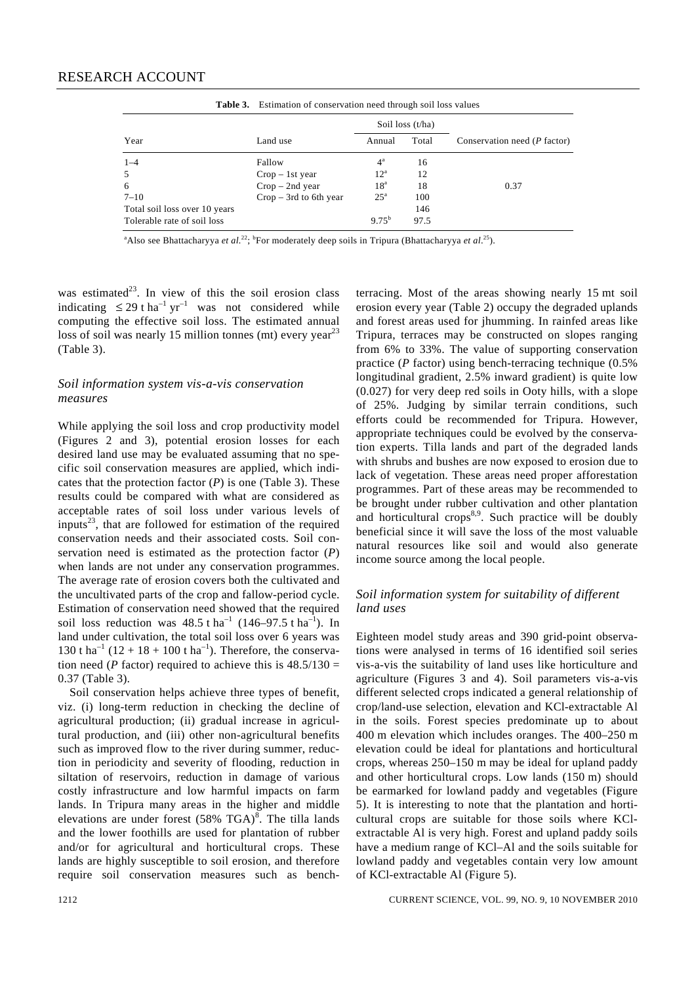|                               | <b>Table 3.</b> Estimation of conservation need through soil loss values |                  |       |                                      |  |
|-------------------------------|--------------------------------------------------------------------------|------------------|-------|--------------------------------------|--|
|                               |                                                                          | Soil loss (t/ha) |       |                                      |  |
| Year                          | Land use                                                                 | Annual           | Total | Conservation need ( <i>P</i> factor) |  |
| $1 - 4$                       | Fallow                                                                   | $4^{\rm a}$      | 16    |                                      |  |
| .5                            | $Crop - 1st year$                                                        | $12^{\rm a}$     | 12    |                                      |  |
| 6                             | $Crop - 2nd year$                                                        | 18 <sup>a</sup>  | 18    | 0.37                                 |  |
| $7 - 10$                      | $Crop - 3rd$ to 6th year                                                 | $25^{\circ}$     | 100   |                                      |  |
| Total soil loss over 10 years |                                                                          |                  | 146   |                                      |  |
| Tolerable rate of soil loss   |                                                                          | $9.75^{b}$       | 97.5  |                                      |  |

**Table 3.** Estimation of conservation need through soil loss values

<sup>a</sup> Also see Bhattacharyya *et al.*<sup>22</sup>; <sup>b</sup>For moderately deep soils in Tripura (Bhattacharyya *et al.*<sup>25</sup>).

was estimated<sup>23</sup>. In view of this the soil erosion class indicating  $\leq 29$  t ha<sup>-1</sup> yr<sup>-1</sup> was not considered while computing the effective soil loss. The estimated annual loss of soil was nearly 15 million tonnes (mt) every year<sup>23</sup> (Table 3).

#### *Soil information system vis-a-vis conservation measures*

While applying the soil loss and crop productivity model (Figures 2 and 3), potential erosion losses for each desired land use may be evaluated assuming that no specific soil conservation measures are applied, which indicates that the protection factor (*P*) is one (Table 3). These results could be compared with what are considered as acceptable rates of soil loss under various levels of inputs<sup>23</sup>, that are followed for estimation of the required conservation needs and their associated costs. Soil conservation need is estimated as the protection factor (*P*) when lands are not under any conservation programmes. The average rate of erosion covers both the cultivated and the uncultivated parts of the crop and fallow-period cycle. Estimation of conservation need showed that the required soil loss reduction was  $48.5 \text{ tha}^{-1}$  (146–97.5 t ha<sup>-1</sup>). In land under cultivation, the total soil loss over 6 years was 130 t ha<sup>-1</sup> (12 + 18 + 100 t ha<sup>-1</sup>). Therefore, the conservation need (*P* factor) required to achieve this is  $48.5/130 =$ 0.37 (Table 3).

 Soil conservation helps achieve three types of benefit, viz. (i) long-term reduction in checking the decline of agricultural production; (ii) gradual increase in agricultural production, and (iii) other non-agricultural benefits such as improved flow to the river during summer, reduction in periodicity and severity of flooding, reduction in siltation of reservoirs, reduction in damage of various costly infrastructure and low harmful impacts on farm lands. In Tripura many areas in the higher and middle elevations are under forest  $(58\% \text{ TGA})^8$ . The tilla lands and the lower foothills are used for plantation of rubber and/or for agricultural and horticultural crops. These lands are highly susceptible to soil erosion, and therefore require soil conservation measures such as benchterracing. Most of the areas showing nearly 15 mt soil erosion every year (Table 2) occupy the degraded uplands and forest areas used for jhumming. In rainfed areas like Tripura, terraces may be constructed on slopes ranging from 6% to 33%. The value of supporting conservation practice (*P* factor) using bench-terracing technique (0.5% longitudinal gradient, 2.5% inward gradient) is quite low (0.027) for very deep red soils in Ooty hills, with a slope of 25%. Judging by similar terrain conditions, such efforts could be recommended for Tripura. However, appropriate techniques could be evolved by the conservation experts. Tilla lands and part of the degraded lands with shrubs and bushes are now exposed to erosion due to lack of vegetation. These areas need proper afforestation programmes. Part of these areas may be recommended to be brought under rubber cultivation and other plantation and horticultural crops $8.9$ . Such practice will be doubly beneficial since it will save the loss of the most valuable natural resources like soil and would also generate income source among the local people.

# *Soil information system for suitability of different land uses*

Eighteen model study areas and 390 grid-point observations were analysed in terms of 16 identified soil series vis-a-vis the suitability of land uses like horticulture and agriculture (Figures 3 and 4). Soil parameters vis-a-vis different selected crops indicated a general relationship of crop/land-use selection, elevation and KCl-extractable Al in the soils. Forest species predominate up to about 400 m elevation which includes oranges. The 400–250 m elevation could be ideal for plantations and horticultural crops, whereas 250–150 m may be ideal for upland paddy and other horticultural crops. Low lands (150 m) should be earmarked for lowland paddy and vegetables (Figure 5). It is interesting to note that the plantation and horticultural crops are suitable for those soils where KClextractable Al is very high. Forest and upland paddy soils have a medium range of KCl–Al and the soils suitable for lowland paddy and vegetables contain very low amount of KCl-extractable Al (Figure 5).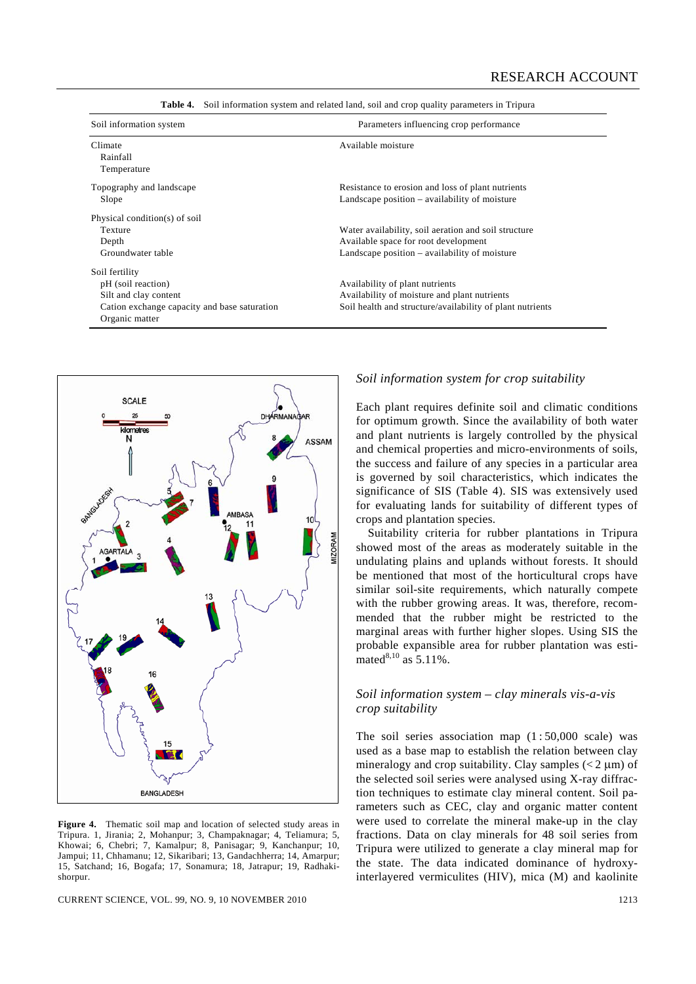| Soil information system                      | Parameters influencing crop performance                   |  |  |  |
|----------------------------------------------|-----------------------------------------------------------|--|--|--|
| Climate                                      | Available moisture                                        |  |  |  |
| Rainfall                                     |                                                           |  |  |  |
| Temperature                                  |                                                           |  |  |  |
| Topography and landscape                     | Resistance to erosion and loss of plant nutrients         |  |  |  |
| Slope                                        | Landscape position – availability of moisture             |  |  |  |
| Physical condition(s) of soil                |                                                           |  |  |  |
| Texture                                      | Water availability, soil aeration and soil structure      |  |  |  |
| Depth                                        | Available space for root development                      |  |  |  |
| Groundwater table                            | Landscape position – availability of moisture             |  |  |  |
| Soil fertility                               |                                                           |  |  |  |
| pH (soil reaction)                           | Availability of plant nutrients                           |  |  |  |
| Silt and clay content                        | Availability of moisture and plant nutrients              |  |  |  |
| Cation exchange capacity and base saturation | Soil health and structure/availability of plant nutrients |  |  |  |
| Organic matter                               |                                                           |  |  |  |

**Table 4.** Soil information system and related land, soil and crop quality parameters in Tripura



**Figure 4.** Thematic soil map and location of selected study areas in Tripura. 1, Jirania; 2, Mohanpur; 3, Champaknagar; 4, Teliamura; 5, Khowai; 6, Chebri; 7, Kamalpur; 8, Panisagar; 9, Kanchanpur; 10, Jampui; 11, Chhamanu; 12, Sikaribari; 13, Gandachherra; 14, Amarpur; 15, Satchand; 16, Bogafa; 17, Sonamura; 18, Jatrapur; 19, Radhakishorpur.

CURRENT SCIENCE, VOL. 99, NO. 9, 10 NOVEMBER 2010 1213

#### *Soil information system for crop suitability*

Each plant requires definite soil and climatic conditions for optimum growth. Since the availability of both water and plant nutrients is largely controlled by the physical and chemical properties and micro-environments of soils, the success and failure of any species in a particular area is governed by soil characteristics, which indicates the significance of SIS (Table 4). SIS was extensively used for evaluating lands for suitability of different types of crops and plantation species.

 Suitability criteria for rubber plantations in Tripura showed most of the areas as moderately suitable in the undulating plains and uplands without forests. It should be mentioned that most of the horticultural crops have similar soil-site requirements, which naturally compete with the rubber growing areas. It was, therefore, recommended that the rubber might be restricted to the marginal areas with further higher slopes. Using SIS the probable expansible area for rubber plantation was estimated<sup>8,10</sup> as  $5.11\%$ .

#### *Soil information system – clay minerals vis-a-vis crop suitability*

The soil series association map  $(1:50,000 \text{ scale})$  was used as a base map to establish the relation between clay mineralogy and crop suitability. Clay samples  $(< 2 \mu m)$  of the selected soil series were analysed using X-ray diffraction techniques to estimate clay mineral content. Soil parameters such as CEC, clay and organic matter content were used to correlate the mineral make-up in the clay fractions. Data on clay minerals for 48 soil series from Tripura were utilized to generate a clay mineral map for the state. The data indicated dominance of hydroxyinterlayered vermiculites (HIV), mica (M) and kaolinite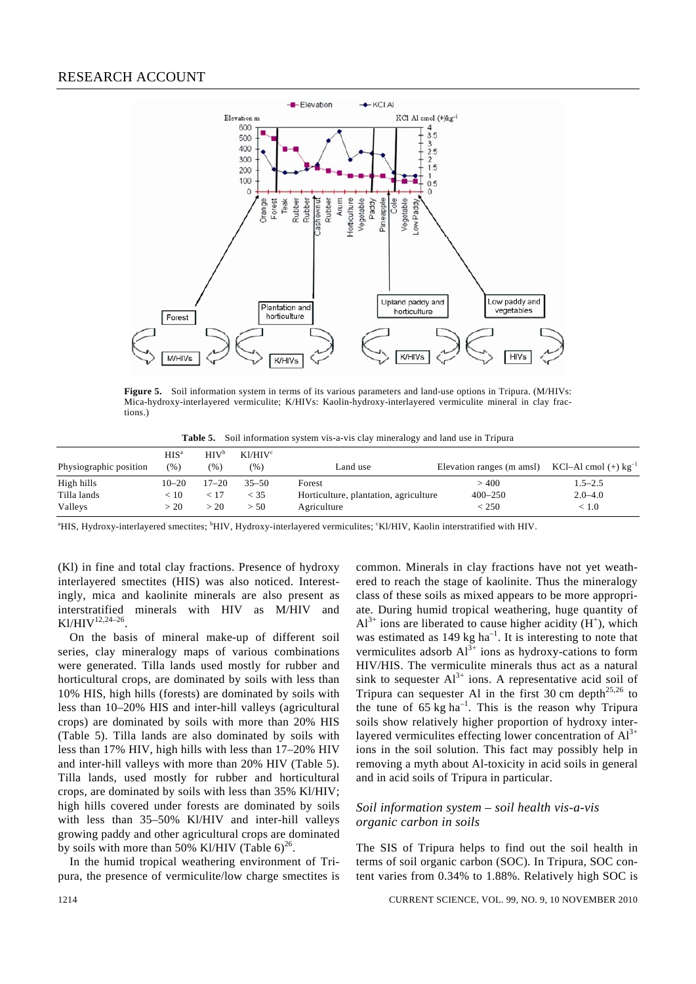

**Figure 5.** Soil information system in terms of its various parameters and land-use options in Tripura. (M/HIVs: Mica-hydroxy-interlayered vermiculite; K/HIVs: Kaolin-hydroxy-interlayered vermiculite mineral in clay fractions.)

**Table 5.** Soil information system vis-a-vis clay mineralogy and land use in Tripura

| Physiographic position | $HIS^a$<br>(96) | HIV <sup>b</sup><br>(%) | K1/HIV <sup>c</sup><br>(%) | Land use                              | Elevation ranges (m amsl) $KCl-Al$ cmol (+) $kg^{-1}$ |             |
|------------------------|-----------------|-------------------------|----------------------------|---------------------------------------|-------------------------------------------------------|-------------|
| High hills             | $10 - 20$       | $17 - 20$               | $35 - 50$                  | Forest                                | >400                                                  | $1.5 - 2.5$ |
| Tilla lands            | < 10            |                         | < 35                       | Horticulture, plantation, agriculture | $400 - 250$                                           | $2.0 - 4.0$ |
| Valleys                | > 20            | > 20                    | > 50                       | Agriculture                           | < 250                                                 | < 1.0       |

<sup>a</sup>HIS, Hydroxy-interlayered smectites; <sup>b</sup>HIV, Hydroxy-interlayered vermiculites; 'Kl/HIV, Kaolin interstratified with HIV.

(Kl) in fine and total clay fractions. Presence of hydroxy interlayered smectites (HIS) was also noticed. Interestingly, mica and kaolinite minerals are also present as interstratified minerals with HIV as M/HIV and  $Kl/HIV$ <sup>12,24–26</sup>

 On the basis of mineral make-up of different soil series, clay mineralogy maps of various combinations were generated. Tilla lands used mostly for rubber and horticultural crops, are dominated by soils with less than 10% HIS, high hills (forests) are dominated by soils with less than 10–20% HIS and inter-hill valleys (agricultural crops) are dominated by soils with more than 20% HIS (Table 5). Tilla lands are also dominated by soils with less than 17% HIV, high hills with less than 17–20% HIV and inter-hill valleys with more than 20% HIV (Table 5). Tilla lands, used mostly for rubber and horticultural crops, are dominated by soils with less than 35% Kl/HIV; high hills covered under forests are dominated by soils with less than 35–50% Kl/HIV and inter-hill valleys growing paddy and other agricultural crops are dominated by soils with more than 50% Kl/HIV (Table  $6)^{26}$ .

 In the humid tropical weathering environment of Tripura, the presence of vermiculite/low charge smectites is common. Minerals in clay fractions have not yet weathered to reach the stage of kaolinite. Thus the mineralogy class of these soils as mixed appears to be more appropriate. During humid tropical weathering, huge quantity of  $Al^{3+}$  ions are liberated to cause higher acidity (H<sup>+</sup>), which was estimated as  $149 \text{ kg ha}^{-1}$ . It is interesting to note that vermiculites adsorb  $Al^{3+}$  ions as hydroxy-cations to form HIV/HIS. The vermiculite minerals thus act as a natural sink to sequester  $Al^{3+}$  ions. A representative acid soil of Tripura can sequester Al in the first 30 cm depth<sup>25,26</sup> to the tune of  $65 \text{ kg ha}^{-1}$ . This is the reason why Tripura soils show relatively higher proportion of hydroxy interlayered vermiculites effecting lower concentration of  $Al^{3+}$ ions in the soil solution. This fact may possibly help in removing a myth about Al-toxicity in acid soils in general and in acid soils of Tripura in particular.

#### *Soil information system – soil health vis-a-vis organic carbon in soils*

The SIS of Tripura helps to find out the soil health in terms of soil organic carbon (SOC). In Tripura, SOC content varies from 0.34% to 1.88%. Relatively high SOC is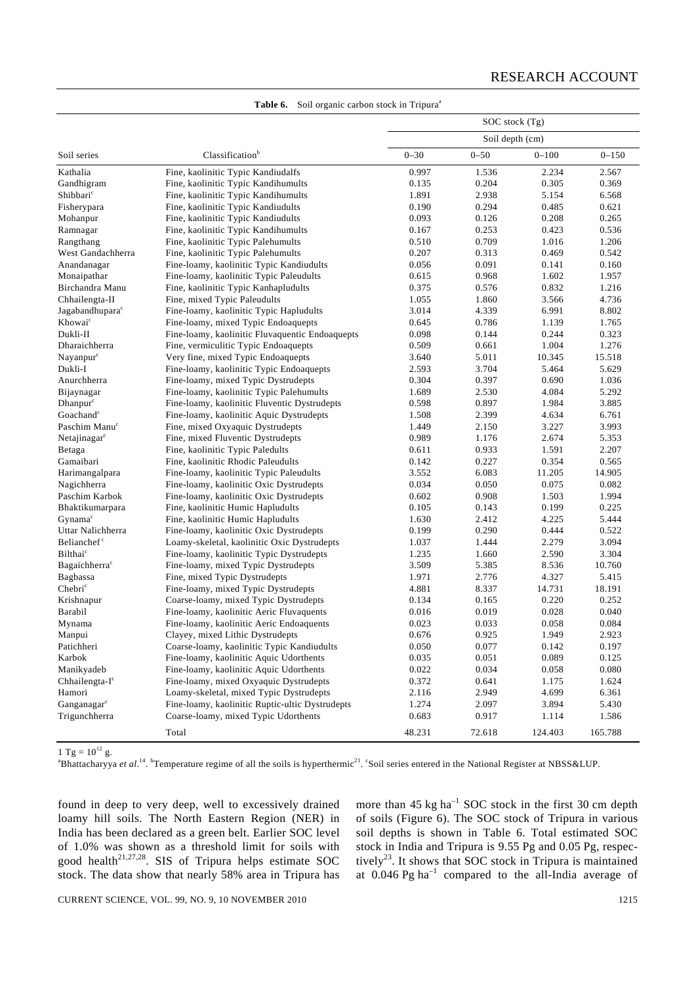|                             |                                                 |          | $SOC$ stock $(Tg)$ |                  |                  |
|-----------------------------|-------------------------------------------------|----------|--------------------|------------------|------------------|
|                             |                                                 |          | Soil depth (cm)    |                  |                  |
| Soil series                 | Classification <sup>b</sup>                     | $0 - 30$ | $0 - 50$           | $0 - 100$        | $0 - 150$        |
| Kathalia                    | Fine, kaolinitic Typic Kandiudalfs              | 0.997    | 1.536              | 2.234            | 2.567            |
| Gandhigram                  | Fine, kaolinitic Typic Kandihumults             | 0.135    | 0.204              | 0.305            | 0.369            |
| Shibbari <sup>c</sup>       | Fine, kaolinitic Typic Kandihumults             | 1.891    | 2.938              | 5.154            | 6.568            |
| Fisherypara                 | Fine, kaolinitic Typic Kandiudults              | 0.190    | 0.294              | 0.485            | 0.621            |
| Mohanpur                    | Fine, kaolinitic Typic Kandiudults              | 0.093    | 0.126              | 0.208            | 0.265            |
| Ramnagar                    | Fine, kaolinitic Typic Kandihumults             | 0.167    | 0.253              | 0.423            | 0.536            |
| Rangthang                   | Fine, kaolinitic Typic Palehumults              | 0.510    | 0.709              | 1.016            | 1.206            |
| West Gandachherra           | Fine, kaolinitic Typic Palehumults              | 0.207    | 0.313              | 0.469            | 0.542            |
| Anandanagar                 | Fine-loamy, kaolinitic Typic Kandiudults        | 0.056    | 0.091              | 0.141            | 0.160            |
| Monaipathar                 | Fine-loamy, kaolinitic Typic Paleudults         | 0.615    | 0.968              | 1.602            | 1.957            |
| Birchandra Manu             | Fine, kaolinitic Typic Kanhapludults            | 0.375    | 0.576              | 0.832            | 1.216            |
| Chhailengta-II              | Fine, mixed Typic Paleudults                    | 1.055    | 1.860              | 3.566            | 4.736            |
| Jagabandhupara <sup>c</sup> | Fine-loamy, kaolinitic Typic Hapludults         | 3.014    | 4.339              | 6.991            | 8.802            |
| Khowai <sup>c</sup>         | Fine-loamy, mixed Typic Endoaquepts             | 0.645    | 0.786              | 1.139            | 1.765            |
| Dukli-II                    | Fine-loamy, kaolinitic Fluvaquentic Endoaquepts | 0.098    | 0.144              | 0.244            | 0.323            |
| Dharaichherra               | Fine, vermiculitic Typic Endoaquepts            | 0.509    | 0.661              | 1.004            | 1.276            |
| Nayanpur <sup>c</sup>       | Very fine, mixed Typic Endoaquepts              | 3.640    | 5.011              | 10.345           | 15.518           |
| Dukli-I                     | Fine-loamy, kaolinitic Typic Endoaquepts        | 2.593    | 3.704              | 5.464            | 5.629            |
| Anurchherra                 | Fine-loamy, mixed Typic Dystrudepts             | 0.304    | 0.397              | 0.690            | 1.036            |
| Bijaynagar                  | Fine-loamy, kaolinitic Typic Palehumults        | 1.689    | 2.530              | 4.084            | 5.292            |
| Dhanpur <sup>c</sup>        | Fine-loamy, kaolinitic Fluventic Dystrudepts    | 0.598    | 0.897              | 1.984            | 3.885            |
| Goachand <sup>c</sup>       | Fine-loamy, kaolinitic Aquic Dystrudepts        | 1.508    | 2.399              | 4.634            | 6.761            |
| Paschim Manu <sup>c</sup>   | Fine, mixed Oxyaquic Dystrudepts                | 1.449    | 2.150              | 3.227            | 3.993            |
| Netajinagar $\epsilon$      | Fine, mixed Fluventic Dystrudepts               | 0.989    | 1.176              | 2.674            | 5.353            |
| Betaga                      | Fine, kaolinitic Typic Paledults                | 0.611    | 0.933              | 1.591            | 2.207            |
| Gamaibari                   | Fine, kaolinitic Rhodic Paleudults              | 0.142    | 0.227              | 0.354            | 0.565            |
| Harimangalpara              | Fine-loamy, kaolinitic Typic Paleudults         | 3.552    | 6.083              | 11.205           | 14.905           |
| Nagichherra                 | Fine-loamy, kaolinitic Oxic Dystrudepts         | 0.034    | 0.050              | 0.075            | 0.082            |
| Paschim Karbok              | Fine-loamy, kaolinitic Oxic Dystrudepts         | 0.602    | 0.908              | 1.503            | 1.994            |
| Bhaktikumarpara             | Fine, kaolinitic Humic Hapludults               | 0.105    | 0.143              | 0.199            | 0.225            |
| Gynama <sup>c</sup>         | Fine, kaolinitic Humic Hapludults               | 1.630    | 2.412              | 4.225            | 5.444            |
| Uttar Nalichherra           | Fine-loamy, kaolinitic Oxic Dystrudepts         | 0.199    | 0.290              | 0.444            | 0.522            |
| Belianchef <sup>c</sup>     | Loamy-skeletal, kaolinitic Oxic Dystrudepts     | 1.037    | 1.444              | 2.279            | 3.094            |
| Bilthai <sup>c</sup>        | Fine-loamy, kaolinitic Typic Dystrudepts        | 1.235    | 1.660              | 2.590            | 3.304            |
| Bagaichherra <sup>c</sup>   | Fine-loamy, mixed Typic Dystrudepts             | 3.509    | 5.385              | 8.536            | 10.760           |
| Bagbassa                    | Fine, mixed Typic Dystrudepts                   | 1.971    | 2.776              | 4.327            | 5.415            |
| Chebri <sup>c</sup>         | Fine-loamy, mixed Typic Dystrudepts             | 4.881    | 8.337              | 14.731           | 18.191           |
| Krishnapur                  | Coarse-loamy, mixed Typic Dystrudepts           | 0.134    | 0.165              | 0.220            | 0.252            |
| Barabil                     | Fine-loamy, kaolinitic Aeric Fluvaquents        | 0.016    | 0.019              | 0.028            | 0.040            |
| Mynama                      | Fine-loamy, kaolinitic Aeric Endoaquents        | 0.023    | 0.033              | 0.058            | 0.084            |
| Manpui                      | Clayey, mixed Lithic Dystrudepts                | 0.676    | 0.925              | 1.949            | 2.923            |
| Patichheri                  | Coarse-loamy, kaolinitic Typic Kandiudults      | 0.050    | 0.077              | 0.142            | 0.197            |
| Karbok                      | Fine-loamy, kaolinitic Aquic Udorthents         | 0.035    | 0.051              | 0.089            | 0.125            |
| Manikyadeb                  | Fine-loamy, kaolinitic Aquic Udorthents         | 0.022    | 0.034              | 0.058            | 0.080            |
| Chhailengta-I <sup>c</sup>  | Fine-loamy, mixed Oxyaquic Dystrudepts          | 0.372    | 0.641              | 1.175            | 1.624            |
| Hamori                      | Loamy-skeletal, mixed Typic Dystrudepts         | 2.116    | 2.949              | 4.699            | 6.361            |
| Ganganagarc                 | Fine-loamy, kaolinitic Ruptic-ultic Dystrudepts | 1.274    |                    | 3.894            |                  |
| Trigunchherra               | Coarse-loamy, mixed Typic Udorthents            | 0.683    | 2.097<br>0.917     |                  | 5.430            |
|                             | Total                                           | 48.231   | 72.618             | 1.114<br>124.403 | 1.586<br>165.788 |
|                             |                                                 |          |                    |                  |                  |

**Table 6.** Soil organic carbon stock in Tripura<sup>a</sup>

1 Tg =  $10^{12}$  g.

Bhattacharyya et al.<sup>14</sup>. <sup>b</sup>Temperature regime of all the soils is hyperthermic<sup>21</sup>. Soil series entered in the National Register at NBSS&LUP.

found in deep to very deep, well to excessively drained loamy hill soils. The North Eastern Region (NER) in India has been declared as a green belt. Earlier SOC level of 1.0% was shown as a threshold limit for soils with good health<sup>21,27,28</sup>. SIS of Tripura helps estimate SOC stock. The data show that nearly 58% area in Tripura has

more than  $45 \text{ kg ha}^{-1}$  SOC stock in the first 30 cm depth of soils (Figure 6). The SOC stock of Tripura in various soil depths is shown in Table 6. Total estimated SOC stock in India and Tripura is 9.55 Pg and 0.05 Pg, respectively<sup>23</sup>. It shows that SOC stock in Tripura is maintained at  $0.046$  Pg ha<sup>-1</sup> compared to the all-India average of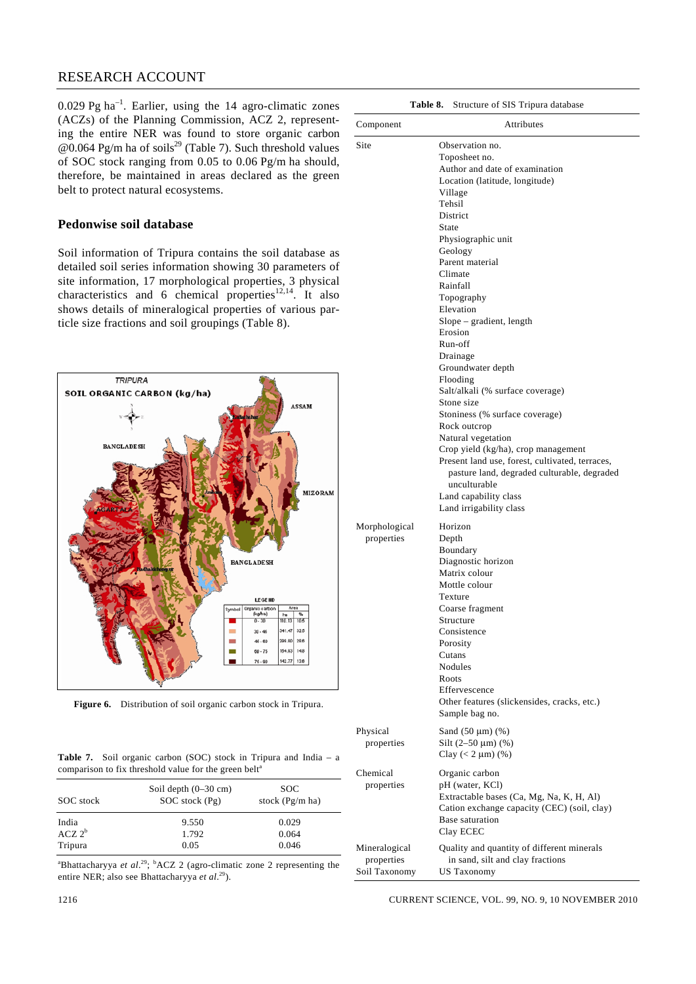$0.029$  Pg ha<sup>-1</sup>. Earlier, using the 14 agro-climatic zones (ACZs) of the Planning Commission, ACZ 2, representing the entire NER was found to store organic carbon  $\omega$ 0.064 Pg/m ha of soils<sup>29</sup> (Table 7). Such threshold values of SOC stock ranging from 0.05 to 0.06 Pg/m ha should, therefore, be maintained in areas declared as the green belt to protect natural ecosystems.

### **Pedonwise soil database**

Soil information of Tripura contains the soil database as detailed soil series information showing 30 parameters of site information, 17 morphological properties, 3 physical characteristics and 6 chemical properties<sup>12,14</sup>. It also shows details of mineralogical properties of various particle size fractions and soil groupings (Table 8).



**Figure 6.** Distribution of soil organic carbon stock in Tripura.

**Table 7.** Soil organic carbon (SOC) stock in Tripura and India – a comparison to fix threshold value for the green belt<sup>a</sup>

| SOC stock            | Soil depth $(0-30 \text{ cm})$<br>$SOC$ stock $(Pg)$ | <b>SOC</b><br>stock $(Pg/m \, ha)$ |
|----------------------|------------------------------------------------------|------------------------------------|
| India<br>$ACZ$ $2^b$ | 9.550<br>1.792                                       | 0.029<br>0.064                     |
| Tripura              | 0.05                                                 | 0.046                              |

<sup>a</sup>Bhattacharyya *et al.*<sup>29</sup>; <sup>b</sup>ACZ 2 (agro-climatic zone 2 representing the entire NER; also see Bhattacharyya *et al.*<sup>29</sup>).

| Component                   | Attributes                                                                                                                                                                                                                                                                                                                                                                                                                                                                                                                                                                                                                                                                                 |
|-----------------------------|--------------------------------------------------------------------------------------------------------------------------------------------------------------------------------------------------------------------------------------------------------------------------------------------------------------------------------------------------------------------------------------------------------------------------------------------------------------------------------------------------------------------------------------------------------------------------------------------------------------------------------------------------------------------------------------------|
| Site                        | Observation no.<br>Toposheet no.<br>Author and date of examination<br>Location (latitude, longitude)<br>Village<br>Tehsil<br>District<br>State<br>Physiographic unit<br>Geology<br>Parent material<br>Climate<br>Rainfall<br>Topography<br>Elevation<br>Slope – gradient, length<br>Erosion<br>Run-off<br>Drainage<br>Groundwater depth<br>Flooding<br>Salt/alkali (% surface coverage)<br>Stone size<br>Stoniness (% surface coverage)<br>Rock outcrop<br>Natural vegetation<br>Crop yield (kg/ha), crop management<br>Present land use, forest, cultivated, terraces,<br>pasture land, degraded culturable, degraded<br>unculturable<br>Land capability class<br>Land irrigability class |
| Morphological<br>properties | Horizon<br>Depth<br>Boundary<br>Diagnostic horizon<br>Matrix colour<br>Mottle colour<br>Texture<br>Coarse fragment<br>Structure<br>Consistence<br>Porosity<br>Cutans<br>Nodules<br>Roots<br>Effervescence<br>Other features (slickensides, cracks, etc.)<br>Sample bag no.                                                                                                                                                                                                                                                                                                                                                                                                                 |
| Physical<br>properties      | Sand $(50 \mu m)$ $%$ )<br>Silt $(2-50 \mu m)$ (%)<br>Clay $(< 2 \mu m)$ $(\%)$                                                                                                                                                                                                                                                                                                                                                                                                                                                                                                                                                                                                            |
| Chemical<br>properties      | Organic carbon<br>pH (water, KCl)<br>Extractable bases (Ca, Mg, Na, K, H, Al)<br>Cation exchange capacity (CEC) (soil, clay)<br>Base saturation<br>Clay ECEC                                                                                                                                                                                                                                                                                                                                                                                                                                                                                                                               |

**Table 8.** Structure of SIS Tripura database

 $\overline{a}$ 

1216 CURRENT SCIENCE, VOL. 99, NO. 9, 10 NOVEMBER 2010

Mineralogical Quality and quantity of different minerals properties in sand, silt and clay fractions

Soil Taxonomy US Taxonomy